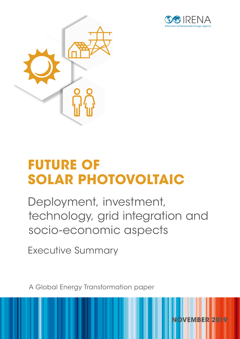

**NOVEMBER 2019**



## **FUTURE OF SOLAR PHOTOVOLTAIC**

Deployment, investment, technology, grid integration and socio-economic aspects

Executive Summary

A Global Energy Transformation paper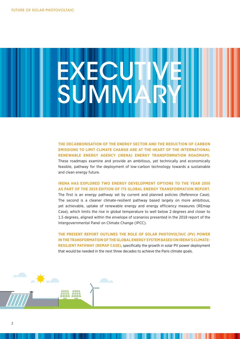# **EXECUTIVEI** SUMMARY

**THE DECARBONISATION OF THE ENERGY SECTOR AND THE REDUCTION OF CARBON EMISSIONS TO LIMIT CLIMATE CHANGE ARE AT THE HEART OF THE INTERNATIONAL RENEWABLE ENERGY AGENCY (IRENA) ENERGY TRANSFORMATION ROADMAPS.** These roadmaps examine and provide an ambitious, yet technically and economically feasible, pathway for the deployment of low-carbon technology towards a sustainable and clean energy future.

#### **IRENA HAS EXPLORED TWO ENERGY DEVELOPMENT OPTIONS TO THE YEAR 2050 AS PART OF THE 2019 EDITION OF ITS GLOBAL ENERGY TRANSFORMATION REPORT.**

The first is an energy pathway set by current and planned policies (Reference Case). The second is a cleaner climate-resilient pathway based largely on more ambitious, yet achievable, uptake of renewable energy and energy efficiency measures (REmap Case), which limits the rise in global temperature to well below 2 degrees and closer to 1.5 degrees, aligned within the envelope of scenarios presented in the 2018 report of the Intergovernmental Panel on Climate Change (IPCC).

**THE PRESENT REPORT OUTLINES THE ROLE OF SOLAR PHOTOVOLTAIC (PV) POWER IN THE TRANSFORMATION OF THE GLOBAL ENERGY SYSTEM BASED ON IRENA'S CLIMATE-RESILIENT PATHWAY (REMAP CASE)**, specifically the growth in solar PV power deployment that would be needed in the next three decades to achieve the Paris climate goals.

AN AN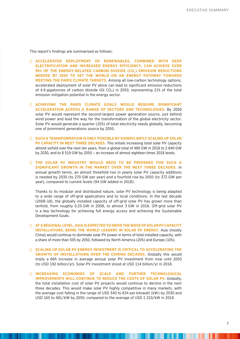This report's findings are summarised as follows:

- n **ACCELERATED DEPLOYMENT OF RENEWABLES, COMBINED WITH DEEP ELECTRIFICATION AND INCREASED ENERGY EFFICIENCY, CAN ACHIEVE OVER 90% OF THE ENERGY-RELATED CARBON DIOXIDE (CO<sub>2</sub>) EMISSION REDUCTIONS NEEDED BY 2050 TO SET THE WORLD ON AN ENERGY PATHWAY TOWARDS MEETING THE PARIS CLIMATE TARGETS**. Among all low-carbon technology options, accelerated deployment of solar PV alone can lead to significant emission reductions of 4.9 gigatonnes of carbon dioxide (Gt  $CO<sub>2</sub>$ ) in 2050, representing 21% of the total emission mitigation potential in the energy sector.
- n **ACHIEVING THE PARIS CLIMATE GOALS WOULD REQUIRE SIGNIFICANT ACCELERATION ACROSS A RANGE OF SECTORS AND TECHNOLOGIES.** By 2050 solar PV would represent the second-largest power generation source, just behind wind power and lead the way for the transformation of the global electricity sector. Solar PV would generate a quarter (25%) of total electricity needs globally, becoming one of prominent generations source by 2050.
- n **SUCH A TRANSFORMATION IS ONLY POSSIBLE BY SIGNIFICANTLY SCALING UP SOLAR PV CAPACITY IN NEXT THREE DECADES.** This entails increasing total solar PV capacity almost sixfold over the next ten years, from a global total of 480 GW in 2018 to 2 840 GW by 2030, and to 8 519 GW by 2050 – an increase of almost eighteen times 2018 levels.
- n **THE SOLAR PV INDUSTRY WOULD NEED TO BE PREPARED FOR SUCH A SIGNIFICANT GROWTH IN THE MARKET OVER THE NEXT THREE DECADES.** In annual growth terms, an almost threefold rise in yearly solar PV capacity additions is needed by 2030 (to 270 GW per year) and a fourfold rise by 2050 (to 372 GW per year), compared to current levels (94 GW added in 2018).

 Thanks to its modular and distributed nature, solar PV technology is being adapted to a wide range of off-grid applications and to local conditions. In the last decade (2008–18), the globally installed capacity of off-grid solar PV has grown more than tenfold, from roughly 0.25 GW in 2008, to almost 3 GW in 2018. Off-grid solar PV is a key technology for achieving full energy access and achieving the Sustainable Development Goals.

- **N AT A REGIONAL LEVEL, ASIA IS EXPECTED TO DRIVE THE WAVE OF SOLAR PV CAPACITY INSTALLATIONS, BEING THE WORLD LEADERS IN SOLAR PV ENERGY.** Asia (mostly China) would continue to dominate solar PV power in terms of total installed capacity, with a share of more than 50% by 2050, followed by North America (20%) and Europe (10%).
- n **SCALING UP SOLAR PV ENERGY INVESTMENT IS CRITICAL TO ACCELERATING THE GROWTH OF INSTALLATIONS OVER THE COMING DECADES.** Globally this would imply a 68% increase in average annual solar PV investment from now until 2050 (to USD 192 billion/yr). Solar PV investment stood at USD 114 billion/yr in 2018.
- n **INCREASING ECONOMIES OF SCALE AND FURTHER TECHNOLOGICAL IMPROVEMENTS WILL CONTINUE TO REDUCE THE COSTS OF SOLAR PV.** Globally, the total installation cost of solar PV projects would continue to decline in the next three decades. This would make solar PV highly competitive in many markets, with the average cost falling in the range of USD 340 to 834 per kilowatt (kW) by 2030 and USD 165 to 481/kW by 2050, compared to the average of USD 1 210/kW in 2018.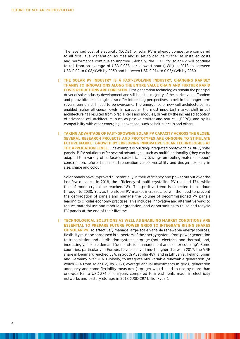The levelised cost of electricity (LCOE) for solar PV is already competitive compared to all fossil fuel generation sources and is set to decline further as installed costs and performance continue to improve. Globally, the LCOE for solar PV will continue to fall from an average of USD 0.085 per kilowatt-hour (kWh) in 2018 to between USD 0.02 to 0.08/kWh by 2030 and between USD 0.014 to 0.05/kWh by 2050.

- n **THE SOLAR PV INDUSTRY IS A FAST-EVOLVING INDUSTRY, CHANGING RAPIDLY THANKS TO INNOVATIONS ALONG THE ENTIRE VALUE CHAIN AND FURTHER RAPID COSTS REDUCTIONS ARE FORESEEN.** First-generation technologies remain the principal driver of solar industry development and still hold the majority of the market value. Tandem and perovskite technologies also offer interesting perspectives, albeit in the longer term several barriers still need to be overcome. The emergence of new cell architectures has enabled higher efficiency levels. In particular, the most important market shift in cell architecture has resulted from bifacial cells and modules, driven by the increased adoption of advanced cell architecture, such as passive emitter and rear cell (PERC), and by its compatibility with other emerging innovations, such as half-cut cells and others.
- **N TAKING ADVANTAGE OF FAST-GROWING SOLAR PV CAPACITY ACROSS THE GLOBE, SEVERAL RESEARCH PROJECTS AND PROTOTYPES ARE ONGOING TO STIMULATE FUTURE MARKET GROWTH BY EXPLORING INNOVATIVE SOLAR TECHNOLOGIES AT THE APPLICATION LEVEL.** One example is building-integrated photovoltaic (BIPV) solar panels. BIPV solutions offer several advantages, such as multifunctionality (they can be adapted to a variety of surfaces), cost-efficiency (savings on roofing material, labour/ construction, refurbishment and renovation costs), versatility and design flexibility in size, shape and colour.

 Solar panels have improved substantially in their efficiency and power output over the last few decades. In 2018, the efficiency of multi-crystalline PV reached 17%, while that of mono-crystalline reached 18%. This positive trend is expected to continue through to 2030. Yet, as the global PV market increases, so will the need to prevent the degradation of panels and manage the volume of decommissioned PV panels leading to circular economy practises. This includes innovative and alternative ways to reduce material use and module degradation, and opportunities to reuse and recycle PV panels at the end of their lifetime.

n **TECHNOLOGICAL SOLUTIONS AS WELL AS ENABLING MARKET CONDITIONS ARE ESSENTIAL TO PREPARE FUTURE POWER GRIDS TO INTEGRATE RISING SHARES OF SOLAR PV.** To effectively manage large-scale variable renewable energy sources, flexibility must be harnessed in all sectors of the energy system, from power generation to transmission and distribution systems, storage (both electrical and thermal) and, increasingly, flexible demand (demand-side management and sector coupling). Some countries, particularly in Europe, have achieved much higher shares in 2017: the VRE share in Denmark reached 53%, in South Australia 48%, and in Lithuania, Ireland, Spain and Germany over 20%. Globally, to integrate 60% variable renewable generation (of which 25% from solar PV) by 2050, average annual investments in grids, generation adequacy and some flexibility measures (storage) would need to rise by more than one-quarter to USD 374 billion/year, compared to investments made in electricity networks and battery storage in 2018 (USD 297 billion/year).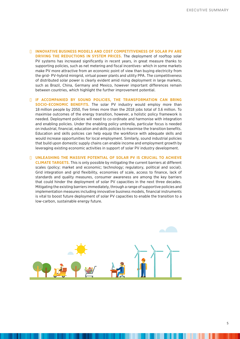- n **INNOVATIVE BUSINESS MODELS AND COST COMPETITIVENESS OF SOLAR PV ARE DRIVING THE REDUCTIONS IN SYSTEM PRICES.** The deployment of rooftop solar PV systems has increased significantly in recent years, in great measure thanks to supporting policies, such as net metering and fiscal incentives- which in some markets make PV more attractive from an economic point of view than buying electricity from the grid- PV-hybrid minigrid, virtual power plants and utility PPA. The competitiveness of distributed solar power is clearly evident amid rising deployment in large markets, such as Brazil, China, Germany and Mexico, however important differences remain between countries, which highlight the further improvement potential.
- **IF ACCOMPANIED BY SOUND POLICIES, THE TRANSFORMATION CAN BRING SOCIO-ECONOMIC BENEFITS.** The solar PV industry would employ more than 18 million people by 2050, five times more than the 2018 jobs total of 3.6 million. To maximise outcomes of the energy transition, however, a holistic policy framework is needed. Deployment policies will need to co-ordinate and harmonise with integration and enabling policies. Under the enabling policy umbrella, particular focus is needed on industrial, financial, education and skills policies to maximise the transition benefits. Education and skills policies can help equip the workforce with adequate skills and would increase opportunities for local employment. Similarly, sound industrial policies that build upon domestic supply chains can enable income and employment growth by leveraging existing economic activities in support of solar PV industry development.
- **N UNLEASHING THE MASSIVE POTENTIAL OF SOLAR PV IS CRUCIAL TO ACHIEVE CLIMATE TARGETS.** This is only possible by mitigating the current barriers at different scales (policy; market and economic; technology; regulatory, political and social). Grid integration and grid flexibility, economies of scale, access to finance, lack of standards and quality measures, consumer awareness are among the key barriers that could hinder the deployment of solar PV capacities in the next three decades. Mitigating the existing barriers immediately, through a range of supportive policies and implementation measures including innovative business models, financial instruments is vital to boost future deployment of solar PV capacities to enable the transition to a low-carbon, sustainable energy future.

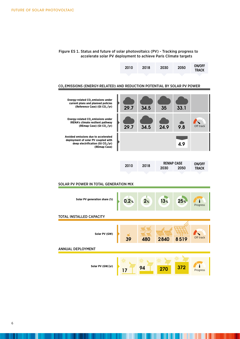

#### CO<sub>2</sub> EMISSIONS (ENERGY-RELATED) AND REDUCTION POTENTIAL BY SOLAR PV POWER



| 2030<br>2050<br><b>TRACK</b> |  | 2010 | 2018 | <b>REMAP CASE</b> | <b>ON/OFF</b> |  |
|------------------------------|--|------|------|-------------------|---------------|--|
|                              |  |      |      |                   |               |  |

0.37 0.085 0.08 – 0.02 0.05 – 0.01

On track

#### SOLAR PV POWER IN TOTAL GENERATION MIX

| Solar PV generation share (%)   |    | 0.2% | 2 <sub>%</sub> | 13%  | 25 <sub>%</sub> | Progress  |  |
|---------------------------------|----|------|----------------|------|-----------------|-----------|--|
| <b>TOTAL INSTALLED CAPACITY</b> |    |      |                |      |                 |           |  |
|                                 |    |      |                |      |                 |           |  |
| Solar PV (GW)                   | 39 |      | 480            | 2840 | 8519            | Off track |  |
| <b>ANNUAL DEPLOYMENT</b>        |    |      |                |      |                 |           |  |
| Solar PV (GW/yr)                |    | 17   | 94             | 270  | 372             | Progress  |  |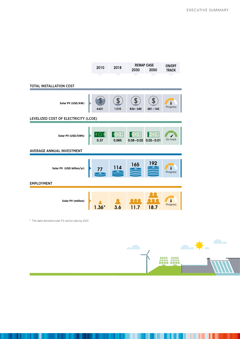|                                                 | 2010          | 2018           | <b>REMAP CASE</b>                                          |             | ON/OFF       |  |  |
|-------------------------------------------------|---------------|----------------|------------------------------------------------------------|-------------|--------------|--|--|
|                                                 |               |                | 2030                                                       | 2050        | <b>TRACK</b> |  |  |
| TOTAL INSTALLATION COST                         |               |                |                                                            |             |              |  |  |
|                                                 |               |                |                                                            |             |              |  |  |
| Solar PV (USD/kW)                               | 4621          | 1210           | $834 - 340$                                                | $481 - 165$ | Progress     |  |  |
| LEVELIZED COST OF ELECTRICITY (LCOE)            |               |                |                                                            |             |              |  |  |
|                                                 |               |                |                                                            |             |              |  |  |
| Solar PV (USD/kWh)                              | \$O\$<br>0.37 | \$O\$<br>0.085 | $\mathcal{S} \subset$<br>\$<br>$0.08 - 0.02$ $0.05 - 0.01$ | \$O\$       | On track     |  |  |
| AVERAGE ANNUAL INVESTMENT                       |               |                |                                                            |             |              |  |  |
|                                                 |               |                |                                                            |             |              |  |  |
| Solar PV (USD billion/yr)                       |               | 14             | 165                                                        | 192         | Progress     |  |  |
| <b>EMPLOYMENT</b>                               |               |                |                                                            |             |              |  |  |
|                                                 |               |                |                                                            |             |              |  |  |
| <b>Solar PV (million)</b>                       |               | 3.6            | 11.7                                                       | 18.7        | Progress     |  |  |
|                                                 |               |                |                                                            |             |              |  |  |
| * The data denoted solar PV sector jobs by 2012 |               |                |                                                            |             |              |  |  |
|                                                 |               |                |                                                            |             |              |  |  |